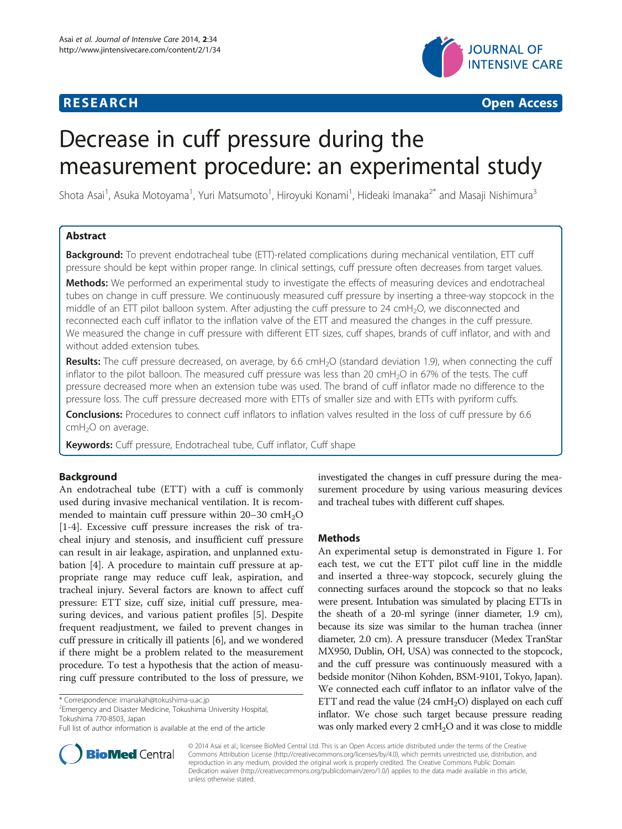



# Decrease in cuff pressure during the measurement procedure: an experimental study

Shota Asai<sup>1</sup>, Asuka Motoyama<sup>1</sup>, Yuri Matsumoto<sup>1</sup>, Hiroyuki Konami<sup>1</sup>, Hideaki Imanaka<sup>2\*</sup> and Masaji Nishimura<sup>3</sup>

# Abstract

Background: To prevent endotracheal tube (ETT)-related complications during mechanical ventilation, ETT cuff pressure should be kept within proper range. In clinical settings, cuff pressure often decreases from target values.

Methods: We performed an experimental study to investigate the effects of measuring devices and endotracheal tubes on change in cuff pressure. We continuously measured cuff pressure by inserting a three-way stopcock in the middle of an ETT pilot balloon system. After adjusting the cuff pressure to 24 cmH<sub>2</sub>O, we disconnected and reconnected each cuff inflator to the inflation valve of the ETT and measured the changes in the cuff pressure. We measured the change in cuff pressure with different ETT sizes, cuff shapes, brands of cuff inflator, and with and without added extension tubes.

Results: The cuff pressure decreased, on average, by 6.6 cmH<sub>2</sub>O (standard deviation 1.9), when connecting the cuff inflator to the pilot balloon. The measured cuff pressure was less than 20  $cmH<sub>2</sub>O$  in 67% of the tests. The cuff pressure decreased more when an extension tube was used. The brand of cuff inflator made no difference to the pressure loss. The cuff pressure decreased more with ETTs of smaller size and with ETTs with pyriform cuffs.

**Conclusions:** Procedures to connect cuff inflators to inflation valves resulted in the loss of cuff pressure by 6.6  $cmH<sub>2</sub>O$  on average.

Keywords: Cuff pressure, Endotracheal tube, Cuff inflator, Cuff shape

# Background

An endotracheal tube (ETT) with a cuff is commonly used during invasive mechanical ventilation. It is recommended to maintain cuff pressure within  $20-30$  cmH<sub>2</sub>O [[1](#page-3-0)[-4](#page-4-0)]. Excessive cuff pressure increases the risk of tracheal injury and stenosis, and insufficient cuff pressure can result in air leakage, aspiration, and unplanned extubation [\[4](#page-4-0)]. A procedure to maintain cuff pressure at appropriate range may reduce cuff leak, aspiration, and tracheal injury. Several factors are known to affect cuff pressure: ETT size, cuff size, initial cuff pressure, measuring devices, and various patient profiles [\[5](#page-4-0)]. Despite frequent readjustment, we failed to prevent changes in cuff pressure in critically ill patients [\[6](#page-4-0)], and we wondered if there might be a problem related to the measurement procedure. To test a hypothesis that the action of measuring cuff pressure contributed to the loss of pressure, we

<sup>2</sup> Emergency and Disaster Medicine, Tokushima University Hospital, Tokushima 770-8503, Japan



## Methods

An experimental setup is demonstrated in Figure [1.](#page-1-0) For each test, we cut the ETT pilot cuff line in the middle and inserted a three-way stopcock, securely gluing the connecting surfaces around the stopcock so that no leaks were present. Intubation was simulated by placing ETTs in the sheath of a 20-ml syringe (inner diameter, 1.9 cm), because its size was similar to the human trachea (inner diameter, 2.0 cm). A pressure transducer (Medex TranStar MX950, Dublin, OH, USA) was connected to the stopcock, and the cuff pressure was continuously measured with a bedside monitor (Nihon Kohden, BSM-9101, Tokyo, Japan). We connected each cuff inflator to an inflator valve of the ETT and read the value  $(24 \text{ cmH}_2\text{O})$  displayed on each cuff inflator. We chose such target because pressure reading was only marked every 2 cmH<sub>2</sub>O and it was close to middle



© 2014 Asai et al.; licensee BioMed Central Ltd. This is an Open Access article distributed under the terms of the Creative Commons Attribution License [\(http://creativecommons.org/licenses/by/4.0\)](http://creativecommons.org/licenses/by/4.0), which permits unrestricted use, distribution, and reproduction in any medium, provided the original work is properly credited. The Creative Commons Public Domain Dedication waiver [\(http://creativecommons.org/publicdomain/zero/1.0/](http://creativecommons.org/publicdomain/zero/1.0/)) applies to the data made available in this article, unless otherwise stated.

<sup>\*</sup> Correspondence: [imanakah@tokushima-u.ac.jp](mailto:imanakah@tokushima-u.ac.jp) <sup>2</sup>

Full list of author information is available at the end of the article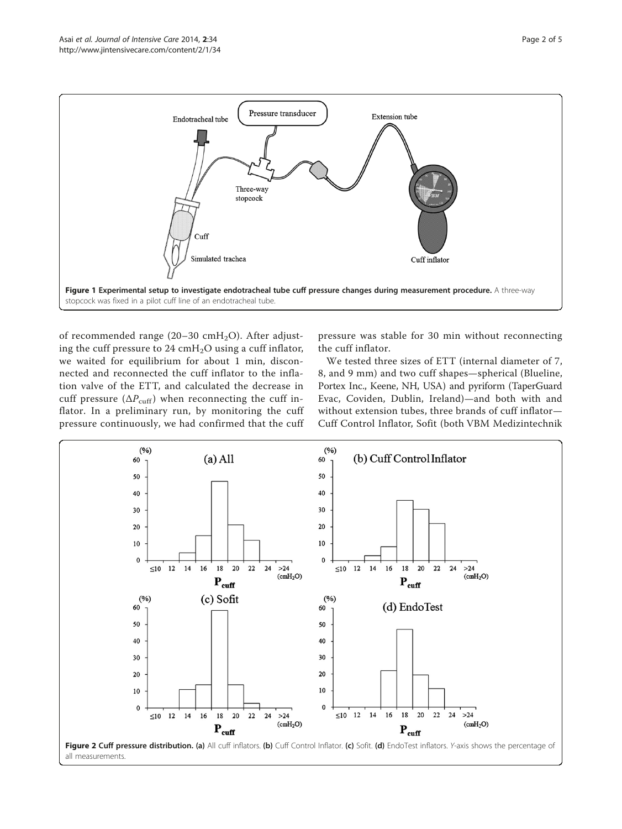<span id="page-1-0"></span>

of recommended range (20–30 cmH<sub>2</sub>O). After adjusting the cuff pressure to  $24 \text{ cm} + 1.00$  using a cuff inflator, we waited for equilibrium for about 1 min, disconnected and reconnected the cuff inflator to the inflation valve of the ETT, and calculated the decrease in cuff pressure ( $\Delta P_{\text{cuff}}$ ) when reconnecting the cuff inflator. In a preliminary run, by monitoring the cuff pressure continuously, we had confirmed that the cuff

pressure was stable for 30 min without reconnecting the cuff inflator.

We tested three sizes of ETT (internal diameter of 7, 8, and 9 mm) and two cuff shapes—spherical (Blueline, Portex Inc., Keene, NH, USA) and pyriform (TaperGuard Evac, Coviden, Dublin, Ireland)—and both with and without extension tubes, three brands of cuff inflator— Cuff Control Inflator, Sofit (both VBM Medizintechnik

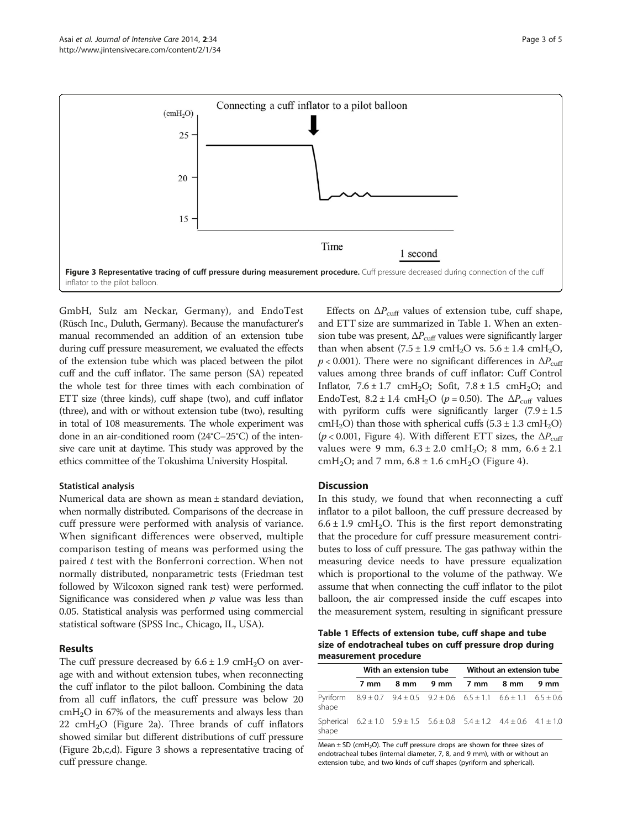<span id="page-2-0"></span>

GmbH, Sulz am Neckar, Germany), and EndoTest (Rüsch Inc., Duluth, Germany). Because the manufacturer's manual recommended an addition of an extension tube during cuff pressure measurement, we evaluated the effects of the extension tube which was placed between the pilot cuff and the cuff inflator. The same person (SA) repeated the whole test for three times with each combination of ETT size (three kinds), cuff shape (two), and cuff inflator (three), and with or without extension tube (two), resulting in total of 108 measurements. The whole experiment was done in an air-conditioned room (24°C–25°C) of the intensive care unit at daytime. This study was approved by the ethics committee of the Tokushima University Hospital.

# Statistical analysis

Numerical data are shown as mean ± standard deviation, when normally distributed. Comparisons of the decrease in cuff pressure were performed with analysis of variance. When significant differences were observed, multiple comparison testing of means was performed using the paired t test with the Bonferroni correction. When not normally distributed, nonparametric tests (Friedman test followed by Wilcoxon signed rank test) were performed. Significance was considered when  $p$  value was less than 0.05. Statistical analysis was performed using commercial statistical software (SPSS Inc., Chicago, IL, USA).

## Results

The cuff pressure decreased by  $6.6 \pm 1.9 \text{ cm}$  H<sub>2</sub>O on average with and without extension tubes, when reconnecting the cuff inflator to the pilot balloon. Combining the data from all cuff inflators, the cuff pressure was below 20  $cmH<sub>2</sub>O$  in 67% of the measurements and always less than  $22$  cmH<sub>2</sub>O (Figure [2](#page-1-0)a). Three brands of cuff inflators showed similar but different distributions of cuff pressure (Figure [2](#page-1-0)b,c,d). Figure 3 shows a representative tracing of cuff pressure change.

Effects on  $\Delta P_{\text{cuff}}$  values of extension tube, cuff shape, and ETT size are summarized in Table 1. When an extension tube was present,  $\Delta P_{\text{cuff}}$  values were significantly larger than when absent  $(7.5 \pm 1.9 \text{ cmH}_2\text{O} \text{ vs. } 5.6 \pm 1.4 \text{ cmH}_2\text{O}$ ,  $p < 0.001$ ). There were no significant differences in  $\Delta P_{\text{cuff}}$ values among three brands of cuff inflator: Cuff Control Inflator,  $7.6 \pm 1.7$  cmH<sub>2</sub>O; Sofit,  $7.8 \pm 1.5$  cmH<sub>2</sub>O; and EndoTest,  $8.2 \pm 1.4$  cmH<sub>2</sub>O ( $p = 0.50$ ). The  $\Delta P_{\text{cuff}}$  values with pyriform cuffs were significantly larger  $(7.9 \pm 1.5)$ cmH<sub>2</sub>O) than those with spherical cuffs  $(5.3 \pm 1.3 \text{ cm}H_2O)$ ( $p < 0.001$ , Figure [4\)](#page-3-0). With different ETT sizes, the  $\Delta P_{\text{cuff}}$ values were 9 mm,  $6.3 \pm 2.0 \text{ cm} +12.0$ ; 8 mm,  $6.6 \pm 2.1$ cmH<sub>2</sub>O; and 7 mm,  $6.8 \pm 1.6$  cmH<sub>2</sub>O (Figure [4](#page-3-0)).

# **Discussion**

In this study, we found that when reconnecting a cuff inflator to a pilot balloon, the cuff pressure decreased by  $6.6 \pm 1.9$  cmH<sub>2</sub>O. This is the first report demonstrating that the procedure for cuff pressure measurement contributes to loss of cuff pressure. The gas pathway within the measuring device needs to have pressure equalization which is proportional to the volume of the pathway. We assume that when connecting the cuff inflator to the pilot balloon, the air compressed inside the cuff escapes into the measurement system, resulting in significant pressure

Table 1 Effects of extension tube, cuff shape and tube size of endotracheal tubes on cuff pressure drop during measurement procedure

|       | With an extension tube |  |                                                                                               | Without an extension tube |  |  |
|-------|------------------------|--|-----------------------------------------------------------------------------------------------|---------------------------|--|--|
|       | 7 mm                   |  | 8 mm 9 mm 7 mm 8 mm 9 mm                                                                      |                           |  |  |
| shape |                        |  | Pyriform $8.9 \pm 0.7$ $9.4 \pm 0.5$ $9.2 \pm 0.6$ $6.5 \pm 1.1$ $6.6 \pm 1.1$ $6.5 \pm 0.6$  |                           |  |  |
| shape |                        |  | Spherical $6.2 \pm 1.0$ $5.9 \pm 1.5$ $5.6 \pm 0.8$ $5.4 \pm 1.2$ $4.4 \pm 0.6$ $4.1 \pm 1.0$ |                           |  |  |

Mean  $\pm$  SD (cmH<sub>2</sub>O). The cuff pressure drops are shown for three sizes of endotracheal tubes (internal diameter, 7, 8, and 9 mm), with or without an extension tube, and two kinds of cuff shapes (pyriform and spherical).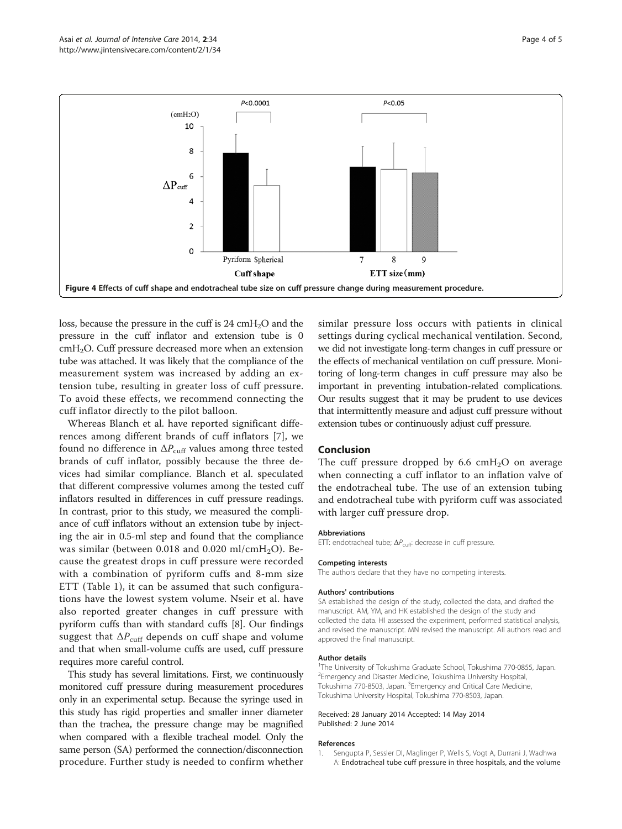<span id="page-3-0"></span>

loss, because the pressure in the cuff is 24 cmH<sub>2</sub>O and the pressure in the cuff inflator and extension tube is 0 cmH2O. Cuff pressure decreased more when an extension tube was attached. It was likely that the compliance of the measurement system was increased by adding an extension tube, resulting in greater loss of cuff pressure. To avoid these effects, we recommend connecting the cuff inflator directly to the pilot balloon.

Whereas Blanch et al. have reported significant differences among different brands of cuff inflators [[7\]](#page-4-0), we found no difference in  $\Delta P_{\text{cuff}}$  values among three tested brands of cuff inflator, possibly because the three devices had similar compliance. Blanch et al. speculated that different compressive volumes among the tested cuff inflators resulted in differences in cuff pressure readings. In contrast, prior to this study, we measured the compliance of cuff inflators without an extension tube by injecting the air in 0.5-ml step and found that the compliance was similar (between 0.018 and 0.020 ml/cmH<sub>2</sub>O). Because the greatest drops in cuff pressure were recorded with a combination of pyriform cuffs and 8-mm size ETT (Table [1](#page-2-0)), it can be assumed that such configurations have the lowest system volume. Nseir et al. have also reported greater changes in cuff pressure with pyriform cuffs than with standard cuffs [[8\]](#page-4-0). Our findings suggest that  $\Delta P_{\text{cuff}}$  depends on cuff shape and volume and that when small-volume cuffs are used, cuff pressure requires more careful control.

This study has several limitations. First, we continuously monitored cuff pressure during measurement procedures only in an experimental setup. Because the syringe used in this study has rigid properties and smaller inner diameter than the trachea, the pressure change may be magnified when compared with a flexible tracheal model. Only the same person (SA) performed the connection/disconnection procedure. Further study is needed to confirm whether

similar pressure loss occurs with patients in clinical settings during cyclical mechanical ventilation. Second, we did not investigate long-term changes in cuff pressure or the effects of mechanical ventilation on cuff pressure. Monitoring of long-term changes in cuff pressure may also be important in preventing intubation-related complications. Our results suggest that it may be prudent to use devices that intermittently measure and adjust cuff pressure without extension tubes or continuously adjust cuff pressure.

## Conclusion

The cuff pressure dropped by 6.6  $cmH<sub>2</sub>O$  on average when connecting a cuff inflator to an inflation valve of the endotracheal tube. The use of an extension tubing and endotracheal tube with pyriform cuff was associated with larger cuff pressure drop.

#### Abbreviations

ETT: endotracheal tube;  $\Delta P_{\text{cuff}}$ : decrease in cuff pressure.

#### Competing interests

The authors declare that they have no competing interests.

#### Authors' contributions

SA established the design of the study, collected the data, and drafted the manuscript. AM, YM, and HK established the design of the study and collected the data. HI assessed the experiment, performed statistical analysis, and revised the manuscript. MN revised the manuscript. All authors read and approved the final manuscript.

#### Author details

<sup>1</sup>The University of Tokushima Graduate School, Tokushima 770-0855, Japan 2 Emergency and Disaster Medicine, Tokushima University Hospital, Tokushima 770-8503, Japan. <sup>3</sup> Emergency and Critical Care Medicine Tokushima University Hospital, Tokushima 770-8503, Japan.

#### Received: 28 January 2014 Accepted: 14 May 2014 Published: 2 June 2014

#### References

1. Sengupta P, Sessler DI, Maglinger P, Wells S, Vogt A, Durrani J, Wadhwa A: Endotracheal tube cuff pressure in three hospitals, and the volume